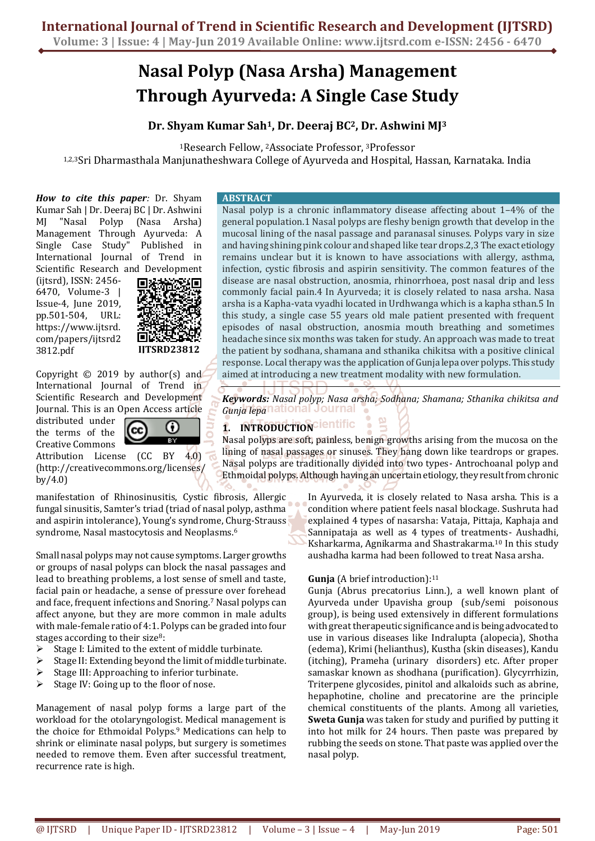# **Nasal Polyp (Nasa Arsha) Management Through Ayurveda: A Single Case Study**

**Dr. Shyam Kumar Sah1, Dr. Deeraj BC2, Dr. Ashwini MJ<sup>3</sup>**

<sup>1</sup>Research Fellow, <sup>2</sup>Associate Professor, <sup>3</sup>Professor

1,2,3Sri Dharmasthala Manjunatheshwara College of Ayurveda and Hospital, Hassan, Karnataka. India

*How to cite this paper:* Dr. Shyam Kumar Sah | Dr. Deeraj BC | Dr. Ashwini MJ "Nasal Polyp (Nasa Arsha) Management Through Ayurveda: A Single Case Study" Published in International Journal of Trend in Scientific Research and Development (ijtsrd), ISSN: 2456- 6470, Volume-3 | Issue-4, June 2019, pp.501-504, URL: https://www.ijtsrd. com/papers/ijtsrd2



Copyright  $©$  2019 by author(s) and International Journal of Trend in Scientific Research and Development Journal. This is an Open Access article

distributed under the terms of the Creative Commons

3812.pdf

Attribution License (CC BY 4.0) (http://creativecommons.org/licenses/ by/4.0)

cc

manifestation of Rhinosinusitis, Cystic fibrosis, Allergic fungal sinusitis, Samter's triad (triad of nasal polyp, asthma and aspirin intolerance), Young's syndrome, Churg-Strauss syndrome, Nasal mastocytosis and Neoplasms.<sup>6</sup>

0

Small nasal polyps may not cause symptoms. Larger growths or groups of nasal polyps can block the nasal passages and lead to breathing problems, a lost sense of smell and taste, facial pain or headache, a sense of pressure over forehead and face, frequent infections and Snoring.<sup>7</sup> Nasal polyps can affect anyone, but they are more common in male adults with male-female ratio of 4:1. Polyps can be graded into four stages according to their size<sup>8</sup>:

- ➢ Stage I: Limited to the extent of middle turbinate.
- ➢ Stage II: Extending beyond the limit of middle turbinate.
- Stage III: Approaching to inferior turbinate.
- ➢ Stage IV: Going up to the floor of nose.

Management of nasal polyp forms a large part of the workload for the otolaryngologist. Medical management is the choice for Ethmoidal Polyps.<sup>9</sup> Medications can help to shrink or eliminate nasal polyps, but surgery is sometimes needed to remove them. Even after successful treatment, recurrence rate is high.

#### **ABSTRACT**

Nasal polyp is a chronic inflammatory disease affecting about 1–4% of the general population.1 Nasal polyps are fleshy benign growth that develop in the mucosal lining of the nasal passage and paranasal sinuses. Polyps vary in size and having shining pink colour and shaped like tear drops.2,3 The exact etiology remains unclear but it is known to have associations with allergy, asthma, infection, cystic fibrosis and aspirin sensitivity. The common features of the disease are nasal obstruction, anosmia, rhinorrhoea, post nasal drip and less commonly facial pain.4 In Ayurveda; it is closely related to nasa arsha. Nasa arsha is a Kapha-vata vyadhi located in Urdhwanga which is a kapha sthan.5 In this study, a single case 55 years old male patient presented with frequent episodes of nasal obstruction, anosmia mouth breathing and sometimes headache since six months was taken for study. An approach was made to treat the patient by sodhana, shamana and sthanika chikitsa with a positive clinical response. Local therapy was the application of Gunja lepa over polyps. This study aimed at introducing a new treatment modality with new formulation.

*Keywords: Nasal polyp; Nasa arsha; Sodhana; Shamana; Sthanika chikitsa and Gunja lepa*

# **1. INTRODUCTION CIENTIFIC**

Nasal polyps are soft, painless, benign growths arising from the mucosa on the lining of nasal passages or sinuses. They hang down like teardrops or grapes. Nasal polyps are traditionally divided into two types- Antrochoanal polyp and Ethmoidal polyps. Although having an uncertain etiology, they result from chronic

> In Ayurveda, it is closely related to Nasa arsha. This is a condition where patient feels nasal blockage. Sushruta had explained 4 types of nasarsha: Vataja, Pittaja, Kaphaja and Sannipataja as well as 4 types of treatments- Aushadhi, Ksharkarma, Agnikarma and Shastrakarma.<sup>10</sup> In this study aushadha karma had been followed to treat Nasa arsha.

## **Gunja** (A brief introduction):<sup>11</sup>

Gunja (Abrus precatorius Linn.), a well known plant of Ayurveda under Upavisha group (sub/semi poisonous group), is being used extensively in different formulations with great therapeutic significance and is being advocated to use in various diseases like Indralupta (alopecia), Shotha (edema), Krimi (helianthus), Kustha (skin diseases), Kandu (itching), Prameha (urinary disorders) etc. After proper samaskar known as shodhana (purification). Glycyrrhizin, Triterpene glycosides, pinitol and alkaloids such as abrine, hepaphotine, choline and precatorine are the principle chemical constituents of the plants. Among all varieties, **Sweta Gunja** was taken for study and purified by putting it into hot milk for 24 hours. Then paste was prepared by rubbing the seeds on stone. That paste was applied over the nasal polyp.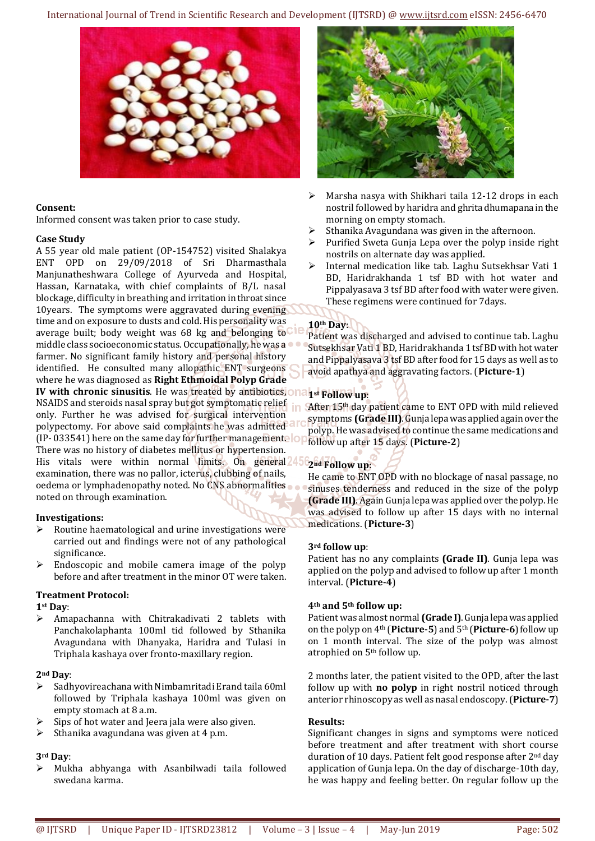

## **Consent:**

Informed consent was taken prior to case study.

## **Case Study**

A 55 year old male patient (OP-154752) visited Shalakya ENT OPD on 29/09/2018 of Sri Dharmasthala Manjunatheshwara College of Ayurveda and Hospital, Hassan, Karnataka, with chief complaints of B/L nasal blockage, difficulty in breathing and irritation in throat since 10years. The symptoms were aggravated during evening time and on exposure to dusts and cold. His personality was average built; body weight was 68 kg and belonging to middle class socioeconomic status. Occupationally, he was a farmer. No significant family history and personal history identified. He consulted many allopathic ENT surgeons where he was diagnosed as **Right Ethmoidal Polyp Grade IV** with chronic sinusitis. He was treated by antibiotics, one NSAIDS and steroids nasal spray but got symptomatic relief only. Further he was advised for surgical intervention polypectomy. For above said complaints he was admitted (IP- 033541) here on the same day for further management. There was no history of diabetes mellitus or hypertension. His vitals were within normal limits. On general 45 examination, there was no pallor, icterus, clubbing of nails, oedema or lymphadenopathy noted. No CNS abnormalities noted on through examination.

## **Investigations:**

- ➢ Routine haematological and urine investigations were carried out and findings were not of any pathological significance.
- $\triangleright$  Endoscopic and mobile camera image of the polyp before and after treatment in the minor OT were taken.

## **Treatment Protocol:**

**1st Day**:

➢ Amapachanna with Chitrakadivati 2 tablets with Panchakolaphanta 100ml tid followed by Sthanika Avagundana with Dhanyaka, Haridra and Tulasi in Triphala kashaya over fronto-maxillary region.

## **2nd Day**:

- ➢ Sadhyovireachana with Nimbamritadi Erand taila 60ml followed by Triphala kashaya 100ml was given on empty stomach at 8 a.m.
- Sips of hot water and Jeera jala were also given.
- $\triangleright$  Sthanika avagundana was given at 4 p.m.

#### **3rd Day**:

➢ Mukha abhyanga with Asanbilwadi taila followed swedana karma.



- Marsha nasya with Shikhari taila 12-12 drops in each nostril followed by haridra and ghrita dhumapana in the morning on empty stomach.
- ➢ Sthanika Avagundana was given in the afternoon.
- ➢ Purified Sweta Gunja Lepa over the polyp inside right nostrils on alternate day was applied.
- ➢ Internal medication like tab. Laghu Sutsekhsar Vati 1 BD, Haridrakhanda 1 tsf BD with hot water and Pippalyasava 3 tsf BD after food with water were given. These regimens were continued for 7days.

# **10th Day**:

Patient was discharged and advised to continue tab. Laghu Sutsekhsar Vati 1 BD, Haridrakhanda 1 tsf BD with hot water and Pippalyasava 3 tsf BD after food for 15 days as well as to avoid apathya and aggravating factors. (**Picture-1**)

# **1st Follow up**:

After 15<sup>th</sup> day patient came to ENT OPD with mild relieved symptoms **(Grade III)**. Gunja lepa was applied again over the polyp. He was advised to continue the same medications and follow up after 15 days. (**Picture-2**)

# **2nd Follow up**:

He came to ENT OPD with no blockage of nasal passage, no sinuses tenderness and reduced in the size of the polyp **(Grade III)**. Again Gunja lepa was applied over the polyp. He was advised to follow up after 15 days with no internal medications. (**Picture-3**)

## **3rd follow up**:

Patient has no any complaints **(Grade II)**. Gunja lepa was applied on the polyp and advised to follow up after 1 month interval. (**Picture-4**)

## **4th and 5th follow up:**

Patient was almost normal **(Grade I)**. Gunja lepa was applied on the polyp on 4th (**Picture-5**) and 5th (**Picture-6**) follow up on 1 month interval. The size of the polyp was almost atrophied on 5th follow up.

2 months later, the patient visited to the OPD, after the last follow up with **no polyp** in right nostril noticed through anterior rhinoscopy as well as nasal endoscopy. (**Picture-7**)

## **Results:**

Significant changes in signs and symptoms were noticed before treatment and after treatment with short course duration of 10 days. Patient felt good response after 2<sup>nd</sup> day application of Gunja lepa. On the day of discharge-10th day, he was happy and feeling better. On regular follow up the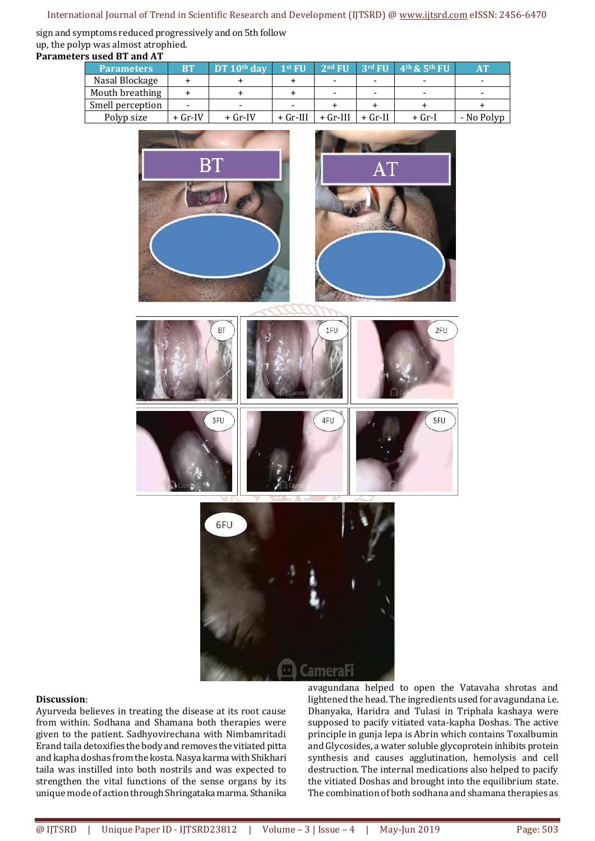## International Journal of Trend in Scientific Research and Development (IJTSRD) @ [www.ijtsrd.com](http://www.ijtsrd.com/) eISSN: 2456-6470

sign and symptoms reduced progressively and on 5th follow up, the polyp was almost atrophied. **Parameters used BT and AT**

| ers useu di anu Al |                   |           |               |            |                          |         |                                                     |            |
|--------------------|-------------------|-----------|---------------|------------|--------------------------|---------|-----------------------------------------------------|------------|
|                    | <b>Parameters</b> | <b>BT</b> | DT $10th$ day | $1st$ FII  | $2nd$ FU                 |         | $'$ 3rd FU $'$ 4 <sup>th</sup> & 5 <sup>th</sup> FU | AT         |
|                    | Nasal Blockage    |           |               |            | -                        | -       |                                                     |            |
|                    | Mouth breathing   |           |               |            | $\overline{\phantom{a}}$ | -       |                                                     |            |
|                    | Smell perception  |           | -             | -          |                          |         |                                                     |            |
|                    | Polyp size        | $+$ Gr-IV | + Gr-IV       | $+$ Gr-III | + Gr-III                 | + Gr-II | + Gr-I                                              | - No Polyp |



#### **Discussion**:

Ayurveda believes in treating the disease at its root cause from within. Sodhana and Shamana both therapies were given to the patient. Sadhyovirechana with Nimbamritadi Erand taila detoxifies the body and removes the vitiated pitta and kapha doshas from the kosta. Nasya karma with Shikhari taila was instilled into both nostrils and was expected to strengthen the vital functions of the sense organs by its unique mode of action through Shringataka marma. Sthanika avagundana helped to open the Vatavaha shrotas and lightened the head. The ingredients used for avagundana i.e. Dhanyaka, Haridra and Tulasi in Triphala kashaya were supposed to pacify vitiated vata-kapha Doshas. The active principle in gunja lepa is Abrin which contains Toxalbumin and Glycosides, a water soluble glycoprotein inhibits protein synthesis and causes agglutination, hemolysis and cell destruction. The internal medications also helped to pacify the vitiated Doshas and brought into the equilibrium state. The combination of both sodhana and shamana therapies as